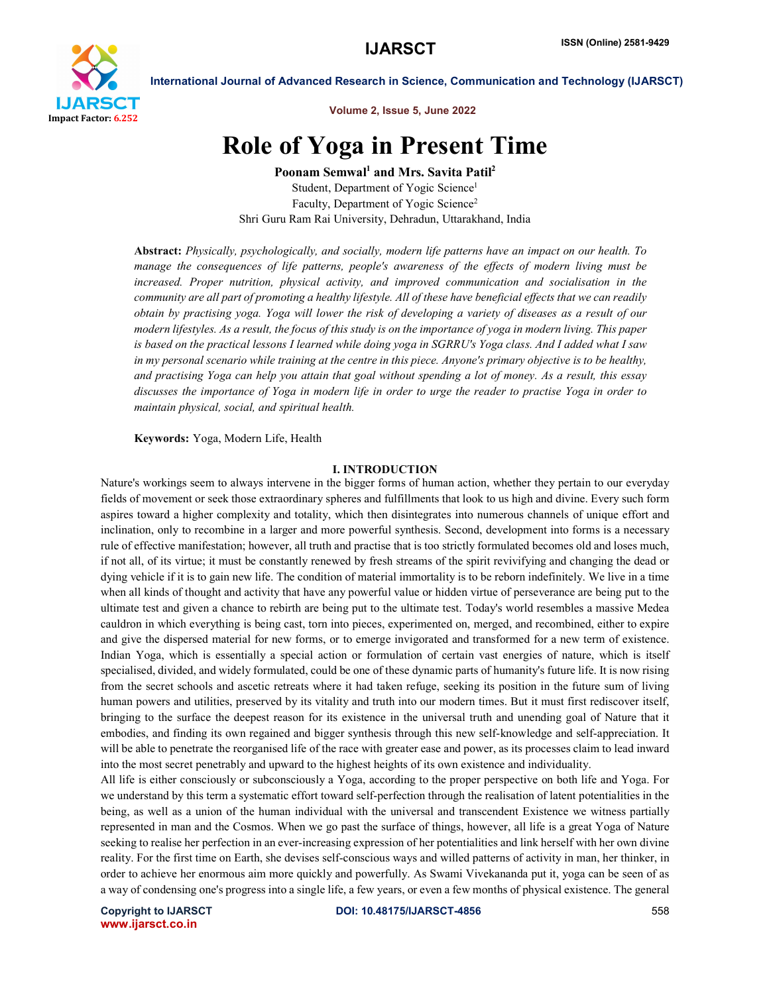

Volume 2, Issue 5, June 2022

# Role of Yoga in Present Time

Poonam Semwal<sup>1</sup> and Mrs. Savita Patil<sup>2</sup> Student, Department of Yogic Science<sup>1</sup> Faculty, Department of Yogic Science<sup>2</sup> Shri Guru Ram Rai University, Dehradun, Uttarakhand, India

Abstract: *Physically, psychologically, and socially, modern life patterns have an impact on our health. To manage the consequences of life patterns, people's awareness of the effects of modern living must be increased. Proper nutrition, physical activity, and improved communication and socialisation in the community are all part of promoting a healthy lifestyle. All of these have beneficial effects that we can readily obtain by practising yoga. Yoga will lower the risk of developing a variety of diseases as a result of our modern lifestyles. As a result, the focus of this study is on the importance of yoga in modern living. This paper is based on the practical lessons I learned while doing yoga in SGRRU's Yoga class. And I added what I saw in my personal scenario while training at the centre in this piece. Anyone's primary objective is to be healthy, and practising Yoga can help you attain that goal without spending a lot of money. As a result, this essay discusses the importance of Yoga in modern life in order to urge the reader to practise Yoga in order to maintain physical, social, and spiritual health.*

Keywords: Yoga, Modern Life, Health

# I. INTRODUCTION

Nature's workings seem to always intervene in the bigger forms of human action, whether they pertain to our everyday fields of movement or seek those extraordinary spheres and fulfillments that look to us high and divine. Every such form aspires toward a higher complexity and totality, which then disintegrates into numerous channels of unique effort and inclination, only to recombine in a larger and more powerful synthesis. Second, development into forms is a necessary rule of effective manifestation; however, all truth and practise that is too strictly formulated becomes old and loses much, if not all, of its virtue; it must be constantly renewed by fresh streams of the spirit revivifying and changing the dead or dying vehicle if it is to gain new life. The condition of material immortality is to be reborn indefinitely. We live in a time when all kinds of thought and activity that have any powerful value or hidden virtue of perseverance are being put to the ultimate test and given a chance to rebirth are being put to the ultimate test. Today's world resembles a massive Medea cauldron in which everything is being cast, torn into pieces, experimented on, merged, and recombined, either to expire and give the dispersed material for new forms, or to emerge invigorated and transformed for a new term of existence. Indian Yoga, which is essentially a special action or formulation of certain vast energies of nature, which is itself specialised, divided, and widely formulated, could be one of these dynamic parts of humanity's future life. It is now rising from the secret schools and ascetic retreats where it had taken refuge, seeking its position in the future sum of living human powers and utilities, preserved by its vitality and truth into our modern times. But it must first rediscover itself, bringing to the surface the deepest reason for its existence in the universal truth and unending goal of Nature that it embodies, and finding its own regained and bigger synthesis through this new self-knowledge and self-appreciation. It will be able to penetrate the reorganised life of the race with greater ease and power, as its processes claim to lead inward into the most secret penetrably and upward to the highest heights of its own existence and individuality.

All life is either consciously or subconsciously a Yoga, according to the proper perspective on both life and Yoga. For we understand by this term a systematic effort toward self-perfection through the realisation of latent potentialities in the being, as well as a union of the human individual with the universal and transcendent Existence we witness partially represented in man and the Cosmos. When we go past the surface of things, however, all life is a great Yoga of Nature seeking to realise her perfection in an ever-increasing expression of her potentialities and link herself with her own divine reality. For the first time on Earth, she devises self-conscious ways and willed patterns of activity in man, her thinker, in order to achieve her enormous aim more quickly and powerfully. As Swami Vivekananda put it, yoga can be seen of as a way of condensing one's progress into a single life, a few years, or even a few months of physical existence. The general

www.ijarsct.co.in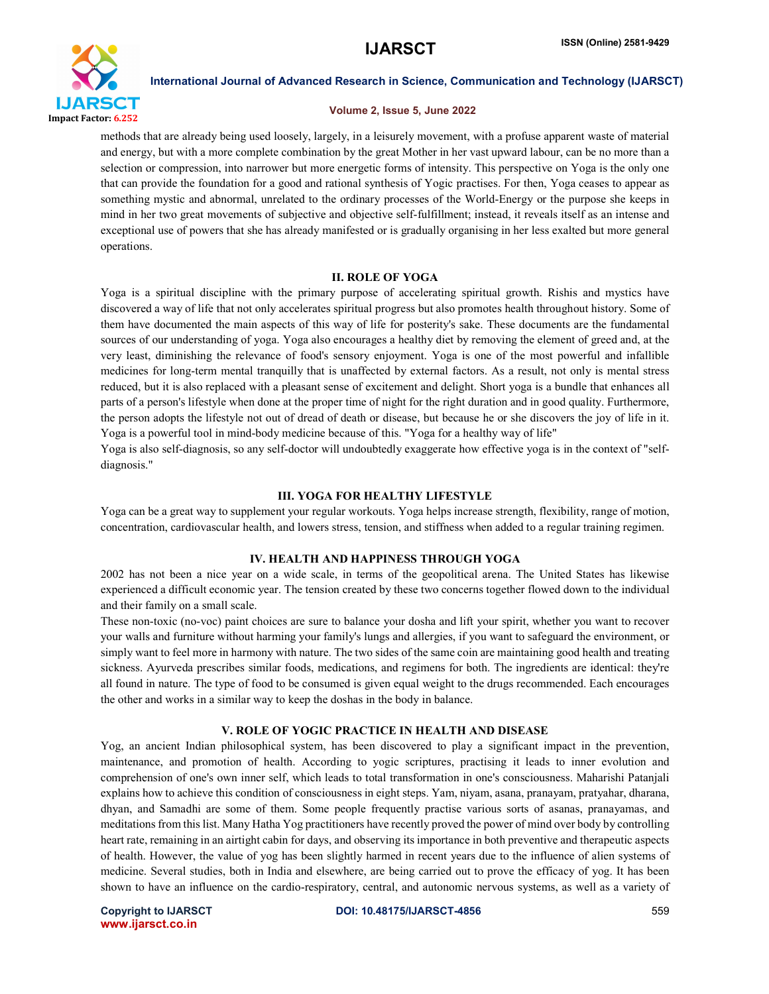

# Volume 2, Issue 5, June 2022

methods that are already being used loosely, largely, in a leisurely movement, with a profuse apparent waste of material and energy, but with a more complete combination by the great Mother in her vast upward labour, can be no more than a selection or compression, into narrower but more energetic forms of intensity. This perspective on Yoga is the only one that can provide the foundation for a good and rational synthesis of Yogic practises. For then, Yoga ceases to appear as something mystic and abnormal, unrelated to the ordinary processes of the World-Energy or the purpose she keeps in mind in her two great movements of subjective and objective self-fulfillment; instead, it reveals itself as an intense and exceptional use of powers that she has already manifested or is gradually organising in her less exalted but more general operations.

### II. ROLE OF YOGA

Yoga is a spiritual discipline with the primary purpose of accelerating spiritual growth. Rishis and mystics have discovered a way of life that not only accelerates spiritual progress but also promotes health throughout history. Some of them have documented the main aspects of this way of life for posterity's sake. These documents are the fundamental sources of our understanding of yoga. Yoga also encourages a healthy diet by removing the element of greed and, at the very least, diminishing the relevance of food's sensory enjoyment. Yoga is one of the most powerful and infallible medicines for long-term mental tranquilly that is unaffected by external factors. As a result, not only is mental stress reduced, but it is also replaced with a pleasant sense of excitement and delight. Short yoga is a bundle that enhances all parts of a person's lifestyle when done at the proper time of night for the right duration and in good quality. Furthermore, the person adopts the lifestyle not out of dread of death or disease, but because he or she discovers the joy of life in it. Yoga is a powerful tool in mind-body medicine because of this. "Yoga for a healthy way of life"

Yoga is also self-diagnosis, so any self-doctor will undoubtedly exaggerate how effective yoga is in the context of "selfdiagnosis."

### III. YOGA FOR HEALTHY LIFESTYLE

Yoga can be a great way to supplement your regular workouts. Yoga helps increase strength, flexibility, range of motion, concentration, cardiovascular health, and lowers stress, tension, and stiffness when added to a regular training regimen.

### IV. HEALTH AND HAPPINESS THROUGH YOGA

2002 has not been a nice year on a wide scale, in terms of the geopolitical arena. The United States has likewise experienced a difficult economic year. The tension created by these two concerns together flowed down to the individual and their family on a small scale.

These non-toxic (no-voc) paint choices are sure to balance your dosha and lift your spirit, whether you want to recover your walls and furniture without harming your family's lungs and allergies, if you want to safeguard the environment, or simply want to feel more in harmony with nature. The two sides of the same coin are maintaining good health and treating sickness. Ayurveda prescribes similar foods, medications, and regimens for both. The ingredients are identical: they're all found in nature. The type of food to be consumed is given equal weight to the drugs recommended. Each encourages the other and works in a similar way to keep the doshas in the body in balance.

# V. ROLE OF YOGIC PRACTICE IN HEALTH AND DISEASE

Yog, an ancient Indian philosophical system, has been discovered to play a significant impact in the prevention, maintenance, and promotion of health. According to yogic scriptures, practising it leads to inner evolution and comprehension of one's own inner self, which leads to total transformation in one's consciousness. Maharishi Patanjali explains how to achieve this condition of consciousness in eight steps. Yam, niyam, asana, pranayam, pratyahar, dharana, dhyan, and Samadhi are some of them. Some people frequently practise various sorts of asanas, pranayamas, and meditations from this list. Many Hatha Yog practitioners have recently proved the power of mind over body by controlling heart rate, remaining in an airtight cabin for days, and observing its importance in both preventive and therapeutic aspects of health. However, the value of yog has been slightly harmed in recent years due to the influence of alien systems of medicine. Several studies, both in India and elsewhere, are being carried out to prove the efficacy of yog. It has been shown to have an influence on the cardio-respiratory, central, and autonomic nervous systems, as well as a variety of

www.ijarsct.co.in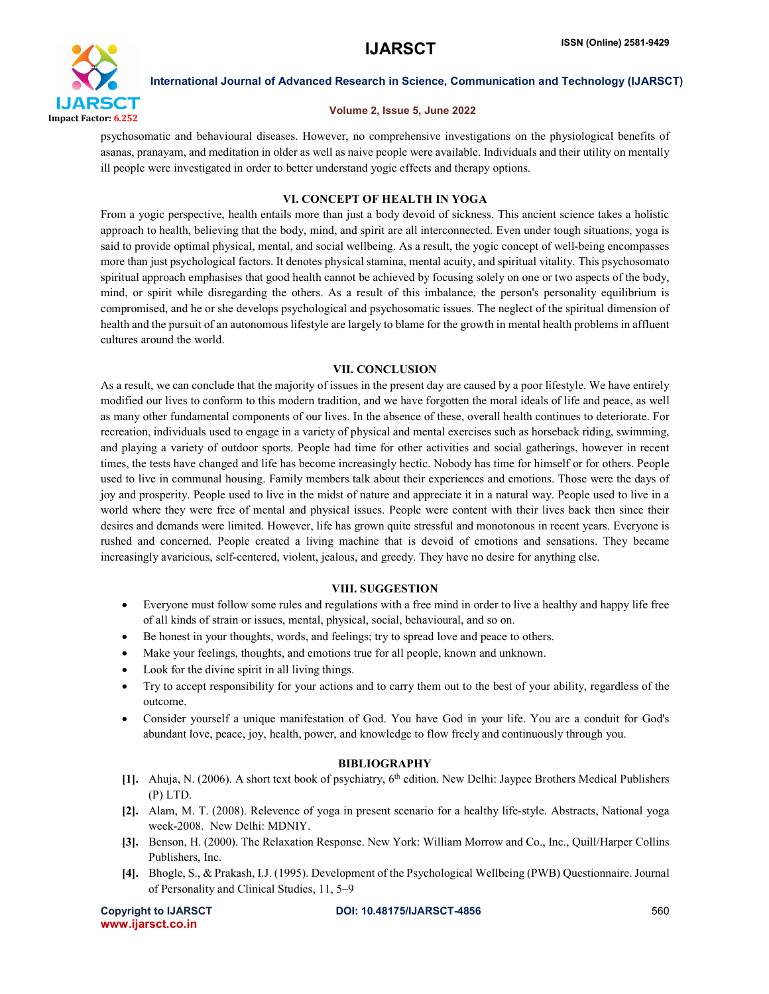

# Volume 2, Issue 5, June 2022

psychosomatic and behavioural diseases. However, no comprehensive investigations on the physiological benefits of asanas, pranayam, and meditation in older as well as naive people were available. Individuals and their utility on mentally ill people were investigated in order to better understand yogic effects and therapy options.

# VI. CONCEPT OF HEALTH IN YOGA

From a yogic perspective, health entails more than just a body devoid of sickness. This ancient science takes a holistic approach to health, believing that the body, mind, and spirit are all interconnected. Even under tough situations, yoga is said to provide optimal physical, mental, and social wellbeing. As a result, the yogic concept of well-being encompasses more than just psychological factors. It denotes physical stamina, mental acuity, and spiritual vitality. This psychosomato spiritual approach emphasises that good health cannot be achieved by focusing solely on one or two aspects of the body, mind, or spirit while disregarding the others. As a result of this imbalance, the person's personality equilibrium is compromised, and he or she develops psychological and psychosomatic issues. The neglect of the spiritual dimension of health and the pursuit of an autonomous lifestyle are largely to blame for the growth in mental health problems in affluent cultures around the world.

# VII. CONCLUSION

As a result, we can conclude that the majority of issues in the present day are caused by a poor lifestyle. We have entirely modified our lives to conform to this modern tradition, and we have forgotten the moral ideals of life and peace, as well as many other fundamental components of our lives. In the absence of these, overall health continues to deteriorate. For recreation, individuals used to engage in a variety of physical and mental exercises such as horseback riding, swimming, and playing a variety of outdoor sports. People had time for other activities and social gatherings, however in recent times, the tests have changed and life has become increasingly hectic. Nobody has time for himself or for others. People used to live in communal housing. Family members talk about their experiences and emotions. Those were the days of joy and prosperity. People used to live in the midst of nature and appreciate it in a natural way. People used to live in a world where they were free of mental and physical issues. People were content with their lives back then since their desires and demands were limited. However, life has grown quite stressful and monotonous in recent years. Everyone is rushed and concerned. People created a living machine that is devoid of emotions and sensations. They became increasingly avaricious, self-centered, violent, jealous, and greedy. They have no desire for anything else.

# VIII. SUGGESTION

- Everyone must follow some rules and regulations with a free mind in order to live a healthy and happy life free of all kinds of strain or issues, mental, physical, social, behavioural, and so on.
- Be honest in your thoughts, words, and feelings; try to spread love and peace to others.
- Make your feelings, thoughts, and emotions true for all people, known and unknown.
- Look for the divine spirit in all living things.
- Try to accept responsibility for your actions and to carry them out to the best of your ability, regardless of the outcome.
- Consider yourself a unique manifestation of God. You have God in your life. You are a conduit for God's abundant love, peace, joy, health, power, and knowledge to flow freely and continuously through you.

# **BIBLIOGRAPHY**

- [1]. Ahuja, N. (2006). A short text book of psychiatry, 6<sup>th</sup> edition. New Delhi: Jaypee Brothers Medical Publishers (P) LTD.
- [2]. Alam, M. T. (2008). Relevence of yoga in present scenario for a healthy life-style. Abstracts, National yoga week-2008. New Delhi: MDNIY.
- [3]. Benson, H. (2000). The Relaxation Response. New York: William Morrow and Co., Inc., Quill/Harper Collins Publishers, Inc.
- [4]. Bhogle, S., & Prakash, I.J. (1995). Development of the Psychological Wellbeing (PWB) Questionnaire. Journal of Personality and Clinical Studies, 11, 5–9

| <b>Copyright to IJARSCT</b> |  |  |
|-----------------------------|--|--|
| www.ijarsct.co.in           |  |  |